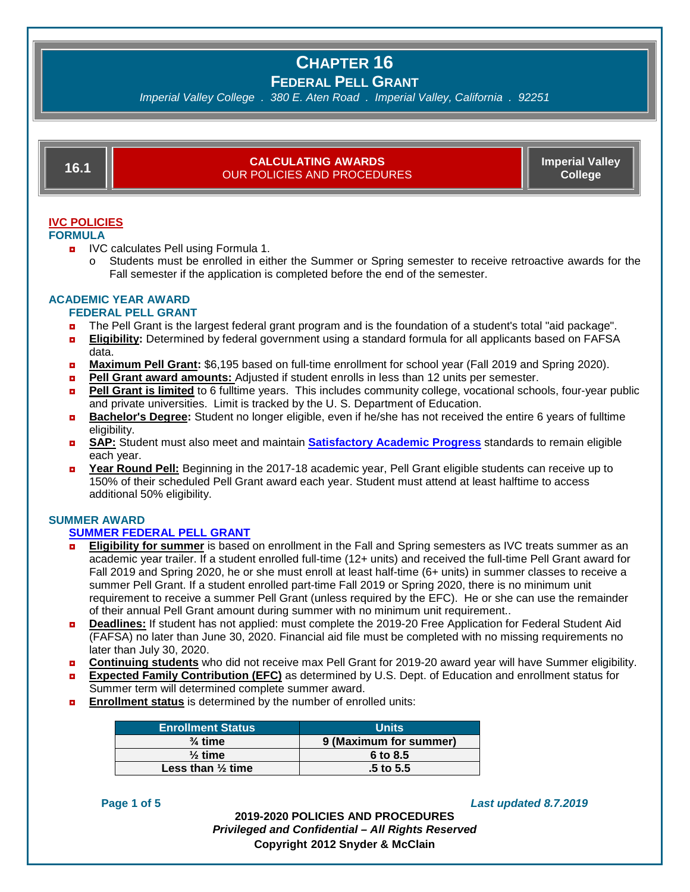*Imperial Valley College . 380 E. Aten Road . Imperial Valley, California . 92251*

# **16.1 CALCULATING AWARDS** OUR POLICIES AND PROCEDURES

**Imperial Valley College**

# **IVC POLICIES**

**FORMULA**

- **D** IVC calculates Pell using Formula 1.
	- o Students must be enrolled in either the Summer or Spring semester to receive retroactive awards for the Fall semester if the application is completed before the end of the semester.

# **ACADEMIC YEAR AWARD**

- **FEDERAL PELL GRANT**
- ◘ The Pell Grant is the largest federal grant program and is the foundation of a student's total "aid package".
- ◘ **Eligibility:** Determined by federal government using a standard formula for all applicants based on FAFSA data.
- ◘ **Maximum Pell Grant:** \$6,195 based on full-time enrollment for school year (Fall 2019 and Spring 2020).
- ◘ **Pell Grant award amounts:** Adjusted if student enrolls in less than 12 units per semester.
- **Pell Grant is limited** to 6 fulltime years. This includes community college, vocational schools, four-year public and private universities. Limit is tracked by the U. S. Department of Education.
- ◘ **Bachelor's Degree:** Student no longer eligible, even if he/she has not received the entire 6 years of fulltime eligibility.
- ◘ **SAP:** Student must also meet and maintain **[Satisfactory](https://www.imperial.edu/students/financial-aid-and-scholarships/policies/) Academic Progress** standards to remain eligible each year.
- ◘ **Year Round Pell:** Beginning in the 2017-18 academic year, Pell Grant eligible students can receive up to 150% of their scheduled Pell Grant award each year. Student must attend at least halftime to access additional 50% eligibility.

# **SUMMER AWARD**

# **SUMMER [FEDERAL](https://www.imperial.edu/students/financial-aid-and-scholarships/summerfinancialaid/) PELL GRANT**

- **Eligibility for summer** is based on enrollment in the Fall and Spring semesters as IVC treats summer as an academic year trailer. If a student enrolled full-time (12+ units) and received the full-time Pell Grant award for Fall 2019 and Spring 2020, he or she must enroll at least half-time (6+ units) in summer classes to receive a summer Pell Grant. If a student enrolled part-time Fall 2019 or Spring 2020, there is no minimum unit requirement to receive a summer Pell Grant (unless required by the EFC). He or she can use the remainder of their annual Pell Grant amount during summer with no minimum unit requirement..
- ◘ **Deadlines:** If student has not applied: must complete the 2019-20 Free Application for Federal Student Aid (FAFSA) no later than June 30, 2020. Financial aid file must be completed with no missing requirements no later than July 30, 2020.
- ◘ **Continuing students** who did not receive max Pell Grant for 2019-20 award year will have Summer eligibility.
- ◘ **Expected Family Contribution (EFC)** as determined by U.S. Dept. of Education and enrollment status for Summer term will determined complete summer award.
- **Enrollment status** is determined by the number of enrolled units:

| <b>Enrollment Status</b>     | <b>Units</b>           |
|------------------------------|------------------------|
| $\frac{3}{4}$ time           | 9 (Maximum for summer) |
| $\frac{1}{2}$ time           | 6 to 8.5               |
| Less than $\frac{1}{2}$ time | $.5$ to $5.5$          |

### **Page 1 of 5** *Last updated 8.7.2019*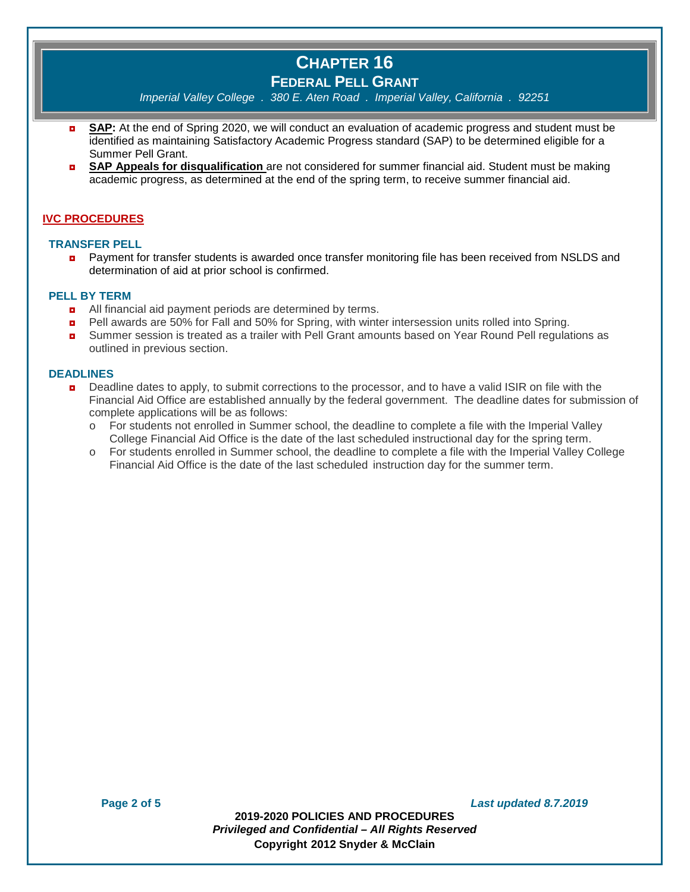*Imperial Valley College . 380 E. Aten Road . Imperial Valley, California . 92251*

- ◘ **SAP:** At the end of Spring 2020, we will conduct an evaluation of academic progress and student must be identified as maintaining Satisfactory Academic Progress standard (SAP) to be determined eligible for a Summer Pell Grant.
- ◘ **SAP Appeals for disqualification** are not considered for summer financial aid. Student must be making academic progress, as determined at the end of the spring term, to receive summer financial aid.

### **IVC PROCEDURES**

#### **TRANSFER PELL**

**D** Payment for transfer students is awarded once transfer monitoring file has been received from NSLDS and determination of aid at prior school is confirmed.

#### **PELL BY TERM**

- **D** All financial aid payment periods are determined by terms.
- Pell awards are 50% for Fall and 50% for Spring, with winter intersession units rolled into Spring.
- Summer session is treated as a trailer with Pell Grant amounts based on Year Round Pell regulations as outlined in previous section.

#### **DEADLINES**

- **Deadline dates to apply, to submit corrections to the processor, and to have a valid ISIR on file with the** Financial Aid Office are established annually by the federal government. The deadline dates for submission of complete applications will be as follows:
	- o For students not enrolled in Summer school, the deadline to complete a file with the Imperial Valley College Financial Aid Office is the date of the last scheduled instructional day for the spring term.
	- o For students enrolled in Summer school, the deadline to complete a file with the Imperial Valley College Financial Aid Office is the date of the last scheduled instruction day for the summer term.

**2019-2020 POLICIES AND PROCEDURES** *Privileged and Confidential – All Rights Reserved* **Copyright 2012 Snyder & McClain**

**Page 2 of 5** *Last updated 8.7.2019*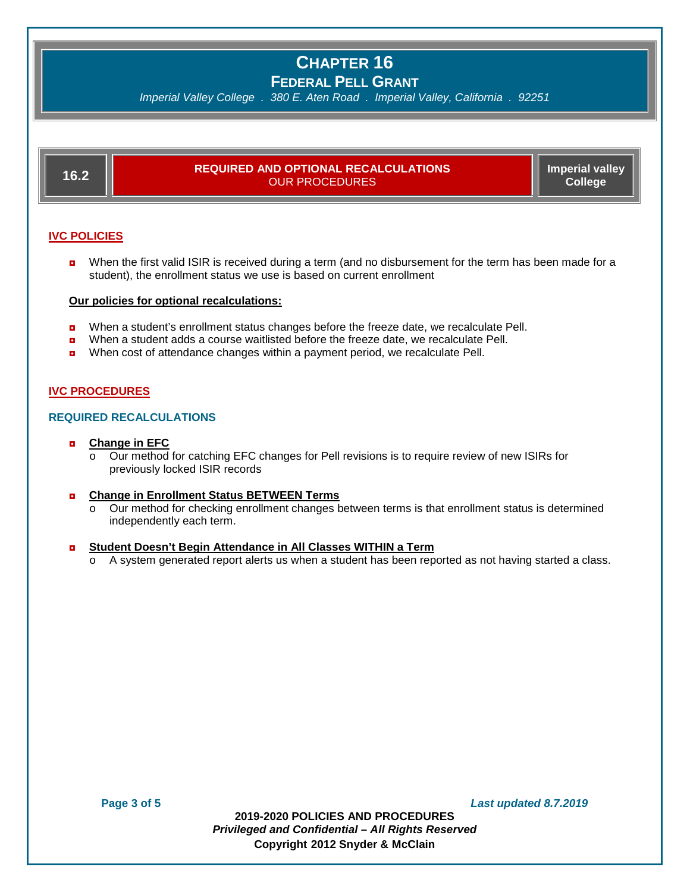*Imperial Valley College . 380 E. Aten Road . Imperial Valley, California . 92251*

| 16.2                | <b>REQUIRED AND OPTIONAL RECALCULATIONS</b><br><b>OUR PROCEDURES</b> | Imperial valley<br>College |
|---------------------|----------------------------------------------------------------------|----------------------------|
| <b>IVC POLICIES</b> |                                                                      |                            |

**D** When the first valid ISIR is received during a term (and no disbursement for the term has been made for a student), the enrollment status we use is based on current enrollment

#### **Our policies for optional recalculations:**

- **D** When a student's enrollment status changes before the freeze date, we recalculate Pell.
- **D** When a student adds a course waitlisted before the freeze date, we recalculate Pell.
- ◘ When cost of attendance changes within a payment period, we recalculate Pell.

### **IVC PROCEDURES**

### **REQUIRED RECALCULATIONS**

#### ◘ **Change in EFC**

o Our method for catching EFC changes for Pell revisions is to require review of new ISIRs for previously locked ISIR records

#### ◘ **Change in Enrollment Status BETWEEN Terms**

o Our method for checking enrollment changes between terms is that enrollment status is determined independently each term.

#### ◘ **Student Doesn't Begin Attendance in All Classes WITHIN a Term**

o A system generated report alerts us when a student has been reported as not having started a class.

**Page 3 of 5** *Last updated 8.7.2019*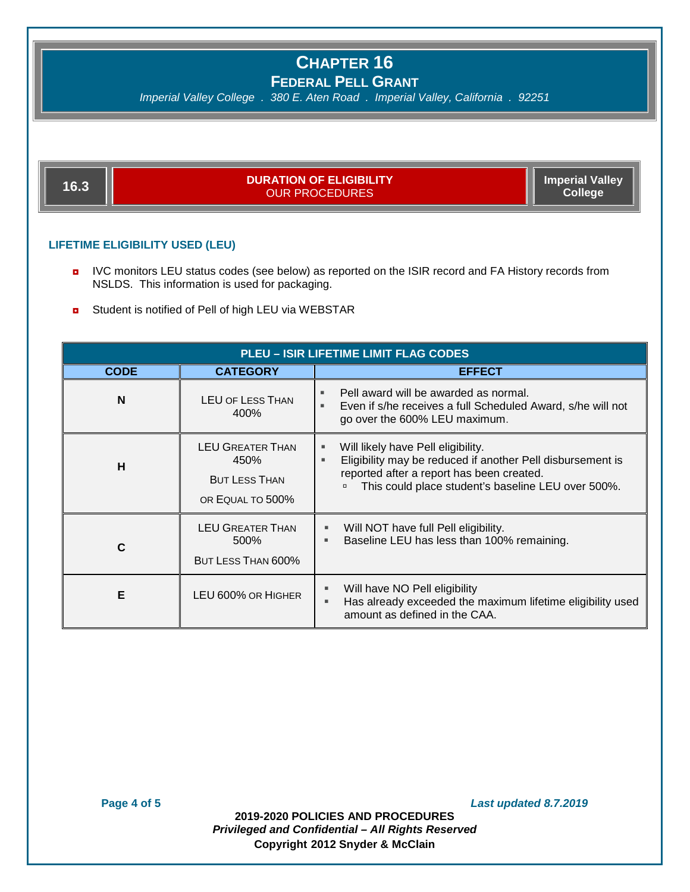*Imperial Valley College . 380 E. Aten Road . Imperial Valley, California . 92251*

**16.3 DURATION OF ELIGIBILITY** OUR PROCEDURES

**Imperial Valley College**

### **LIFETIME ELIGIBILITY USED (LEU)**

- **D** IVC monitors LEU status codes (see below) as reported on the ISIR record and FA History records from NSLDS. This information is used for packaging.
- **D** Student is notified of Pell of high LEU via WEBSTAR

| <b>PLEU - ISIR LIFETIME LIMIT FLAG CODES</b> |                                                                             |                                                                                                                                                                                                               |  |  |  |
|----------------------------------------------|-----------------------------------------------------------------------------|---------------------------------------------------------------------------------------------------------------------------------------------------------------------------------------------------------------|--|--|--|
| <b>CODE</b>                                  | <b>CATEGORY</b>                                                             | <b>EFFECT</b>                                                                                                                                                                                                 |  |  |  |
| N                                            | <b>LEU OF LESS THAN</b><br>400%                                             | Pell award will be awarded as normal.<br>Even if s/he receives a full Scheduled Award, s/he will not<br>go over the 600% LEU maximum.                                                                         |  |  |  |
| н                                            | <b>LEU GREATER THAN</b><br>450%<br><b>BUT LESS THAN</b><br>OR EQUAL TO 500% | Will likely have Pell eligibility.<br>ш<br>Eligibility may be reduced if another Pell disbursement is<br>٠<br>reported after a report has been created.<br>This could place student's baseline LEU over 500%. |  |  |  |
| C                                            | <b>LEU GREATER THAN</b><br>500%<br>BUT LESS THAN 600%                       | Will NOT have full Pell eligibility.<br>Baseline LEU has less than 100% remaining.                                                                                                                            |  |  |  |
| Е                                            | LEU 600% OR HIGHER                                                          | Will have NO Pell eligibility<br>Has already exceeded the maximum lifetime eligibility used<br>amount as defined in the CAA.                                                                                  |  |  |  |

**Page 4 of 5** *Last updated 8.7.2019*